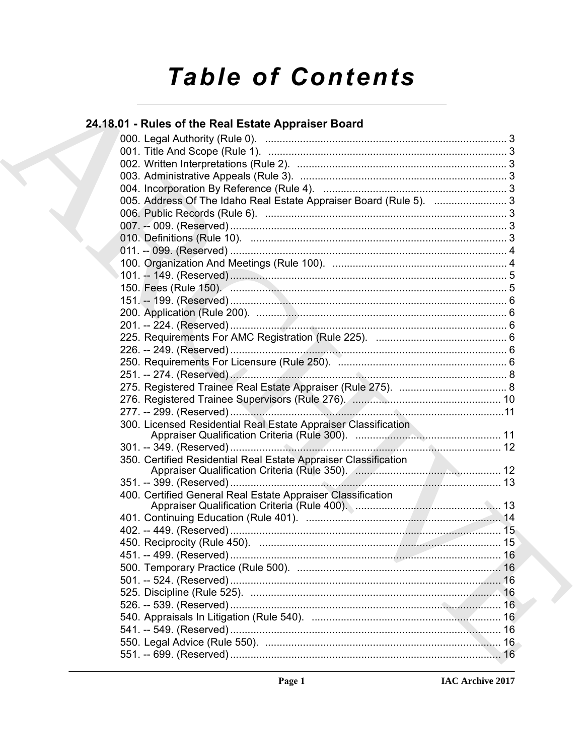# **Table of Contents**

## 24.18.01 - Rules of the Real Estate Appraiser Board

| 005. Address Of The Idaho Real Estate Appraiser Board (Rule 5).  3 |  |
|--------------------------------------------------------------------|--|
|                                                                    |  |
|                                                                    |  |
|                                                                    |  |
|                                                                    |  |
|                                                                    |  |
|                                                                    |  |
|                                                                    |  |
|                                                                    |  |
|                                                                    |  |
|                                                                    |  |
|                                                                    |  |
|                                                                    |  |
|                                                                    |  |
|                                                                    |  |
|                                                                    |  |
|                                                                    |  |
|                                                                    |  |
|                                                                    |  |
|                                                                    |  |
|                                                                    |  |
| 350. Certified Residential Real Estate Appraiser Classification    |  |
|                                                                    |  |
|                                                                    |  |
| 400. Certified General Real Estate Appraiser Classification        |  |
|                                                                    |  |
|                                                                    |  |
|                                                                    |  |
|                                                                    |  |
|                                                                    |  |
|                                                                    |  |
|                                                                    |  |
|                                                                    |  |
|                                                                    |  |
|                                                                    |  |
|                                                                    |  |
|                                                                    |  |
|                                                                    |  |
|                                                                    |  |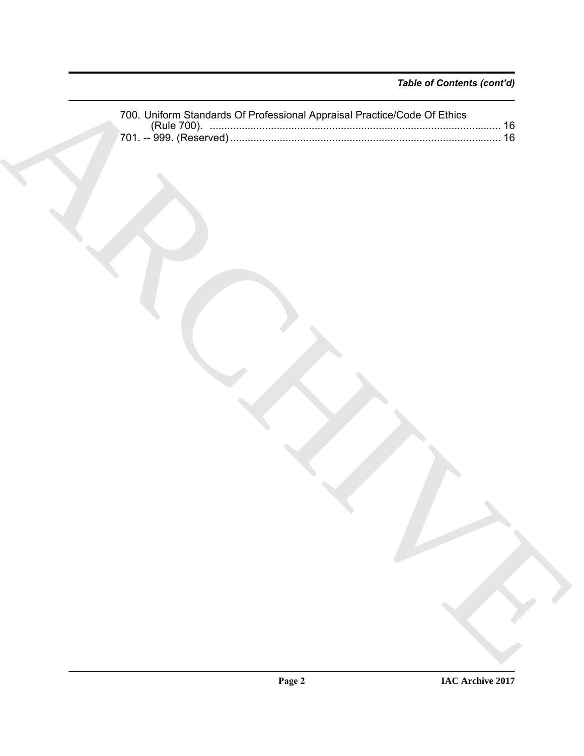|  | --------- 1 |  |
|--|-------------|--|
|  |             |  |
|  |             |  |
|  |             |  |
|  |             |  |
|  |             |  |
|  |             |  |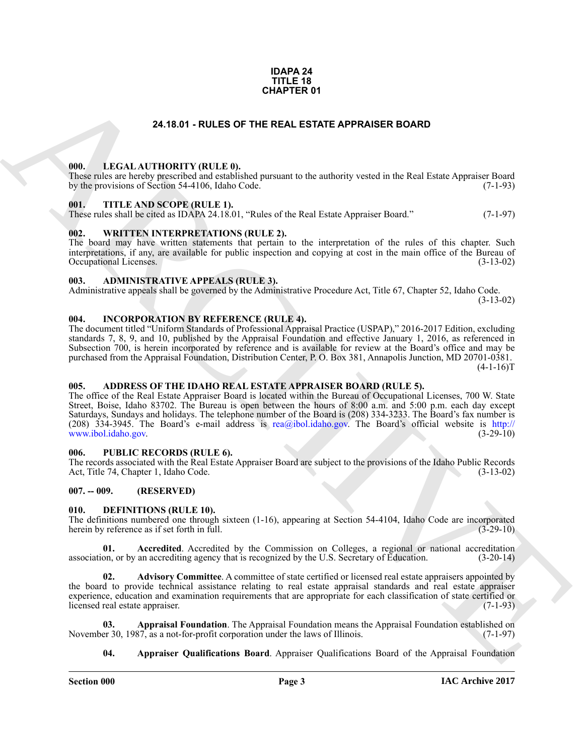### **IDAPA 24 TITLE 18 CHAPTER 01**

### **24.18.01 - RULES OF THE REAL ESTATE APPRAISER BOARD**

### <span id="page-2-1"></span><span id="page-2-0"></span>**000. LEGAL AUTHORITY (RULE 0).**

These rules are hereby prescribed and established pursuant to the authority vested in the Real Estate Appraiser Board by the provisions of Section 54-4106, Idaho Code. (7-1-93)

### <span id="page-2-2"></span>**001. TITLE AND SCOPE (RULE 1).**

These rules shall be cited as IDAPA 24.18.01, "Rules of the Real Estate Appraiser Board." (7-1-97)

### <span id="page-2-3"></span>**002. WRITTEN INTERPRETATIONS (RULE 2).**

The board may have written statements that pertain to the interpretation of the rules of this chapter. Such interpretations, if any, are available for public inspection and copying at cost in the main office of the Bureau of Occupational Licenses. (3-13-02) Occupational Licenses.

### <span id="page-2-4"></span>**003. ADMINISTRATIVE APPEALS (RULE 3).**

Administrative appeals shall be governed by the Administrative Procedure Act, Title 67, Chapter 52, Idaho Code. (3-13-02)

<span id="page-2-15"></span><span id="page-2-5"></span>**004. INCORPORATION BY REFERENCE (RULE 4).**

The document titled "Uniform Standards of Professional Appraisal Practice (USPAP)," 2016-2017 Edition, excluding standards 7, 8, 9, and 10, published by the Appraisal Foundation and effective January 1, 2016, as referenced in Subsection 700, is herein incorporated by reference and is available for review at the Board's office and may be purchased from the Appraisal Foundation, Distribution Center, P. O. Box 381, Annapolis Junction, MD 20701-0381.  $(4-1-16)T$ 

### <span id="page-2-6"></span>**005. ADDRESS OF THE IDAHO REAL ESTATE APPRAISER BOARD (RULE 5).**

**24.16.61 - RULES OF THE REAL ESTATE APPRAISER BOARD<br>
1991.** LEGAL ALTITORITY (BULLE B),<br>
1991. THE ANS SCOPE (BEELD, the Property and Partners of the anily vented in the Real Listae Apparent Doral<br>
1991. THE ANS SCOPE (B The office of the Real Estate Appraiser Board is located within the Bureau of Occupational Licenses, 700 W. State Street, Boise, Idaho 83702. The Bureau is open between the hours of 8:00 a.m. and 5:00 p.m. each day except Saturdays, Sundays and holidays. The telephone number of the Board is (208) 334-3233. The Board's fax number is (208)  $334-3945$ . The Board's e-mail address is rea@ibol.idaho.gov. The Board's official website is http://<br>www.ibol.idaho.gov. (3-29-10) www.ibol.idaho.gov.

### <span id="page-2-7"></span>**006. PUBLIC RECORDS (RULE 6).**

The records associated with the Real Estate Appraiser Board are subject to the provisions of the Idaho Public Records Act, Title 74, Chapter 1, Idaho Code. (3-13-02) Act, Title 74, Chapter 1, Idaho Code.

### <span id="page-2-8"></span>**007. -- 009. (RESERVED)**

### <span id="page-2-10"></span><span id="page-2-9"></span>**010. DEFINITIONS (RULE 10).**

The definitions numbered one through sixteen (1-16), appearing at Section 54-4104, Idaho Code are incorporated herein by reference as if set forth in full. (3-29-10) herein by reference as if set forth in full.

<span id="page-2-11"></span>**01. Accredited**. Accredited by the Commission on Colleges, a regional or national accreditation on, or by an accrediting agency that is recognized by the U.S. Secretary of Education. (3-20-14) association, or by an accrediting agency that is recognized by the U.S. Secretary of Education.

<span id="page-2-12"></span>**02. Advisory Committee**. A committee of state certified or licensed real estate appraisers appointed by the board to provide technical assistance relating to real estate appraisal standards and real estate appraiser experience, education and examination requirements that are appropriate for each classification of state certified or licensed real estate appraiser. (7-1-93) licensed real estate appraiser.

**Appraisal Foundation**. The Appraisal Foundation means the Appraisal Foundation established on 87, as a not-for-profit corporation under the laws of Illinois. (7-1-97) November 30, 1987, as a not-for-profit corporation under the laws of Illinois.

<span id="page-2-14"></span><span id="page-2-13"></span>**04. Appraiser Qualifications Board**. Appraiser Qualifications Board of the Appraisal Foundation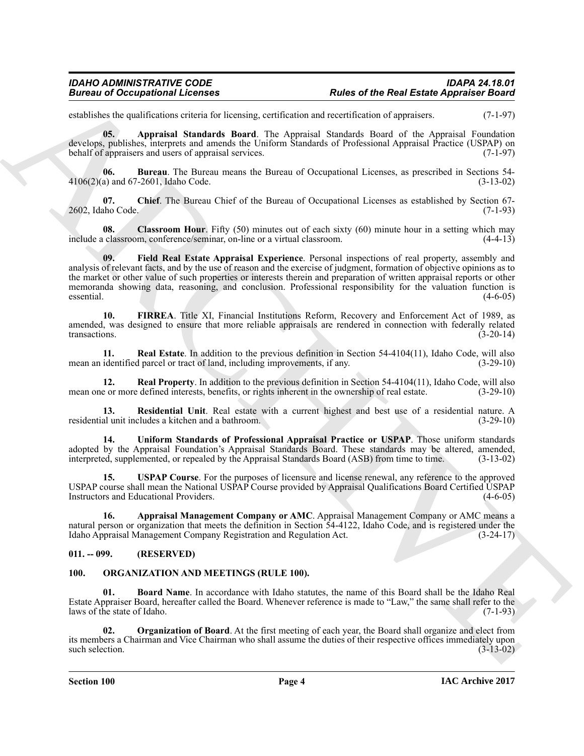establishes the qualifications criteria for licensing, certification and recertification of appraisers. (7-1-97)

<span id="page-3-3"></span>**05. Appraisal Standards Board**. The Appraisal Standards Board of the Appraisal Foundation develops, publishes, interprets and amends the Uniform Standards of Professional Appraisal Practice (USPAP) on behalf of appraisers and users of appraisal services. (7-1-97)

<span id="page-3-4"></span>**06.** Bureau. The Bureau means the Bureau of Occupational Licenses, as prescribed in Sections 54-<br>a) and 67-2601. Idaho Code. (3-13-02)  $4106(2)(a)$  and  $67-2601$ , Idaho Code.

<span id="page-3-5"></span>**07.** Chief. The Bureau Chief of the Bureau of Occupational Licenses as established by Section 67-<br>(7-1-93) 2602, Idaho Code.

<span id="page-3-7"></span><span id="page-3-6"></span>**08.** Classroom Hour. Fifty (50) minutes out of each sixty (60) minute hour in a setting which may classroom. conference/seminar, on-line or a virtual classroom. include a classroom, conference/seminar, on-line or a virtual classroom.

Branches of Occupational Licenses<br>
Since of the Real Easte Appearance Road<br>
Since the Real Association and the terms continent to the main terms in the continent of the symmetric and<br>
Figure 18.<br>
Figure 18. Appearance Sin **09. Field Real Estate Appraisal Experience**. Personal inspections of real property, assembly and analysis of relevant facts, and by the use of reason and the exercise of judgment, formation of objective opinions as to the market or other value of such properties or interests therein and preparation of written appraisal reports or other memoranda showing data, reasoning, and conclusion. Professional responsibility for the valuation function is essential. (4-6-05) essential. (4-6-05)

<span id="page-3-8"></span>**10. FIRREA**. Title XI, Financial Institutions Reform, Recovery and Enforcement Act of 1989, as amended, was designed to ensure that more reliable appraisals are rendered in connection with federally related transactions.  $(3-20-14)$ 

<span id="page-3-9"></span>**11. Real Estate**. In addition to the previous definition in Section 54-4104(11), Idaho Code, will also identified parcel or tract of land, including improvements, if any. (3-29-10) mean an identified parcel or tract of land, including improvements, if any.

<span id="page-3-10"></span>**12. Real Property**. In addition to the previous definition in Section 54-4104(11), Idaho Code, will also e or more defined interests, benefits, or rights inherent in the ownership of real estate. (3-29-10) mean one or more defined interests, benefits, or rights inherent in the ownership of real estate.

<span id="page-3-11"></span>**13. Residential Unit**. Real estate with a current highest and best use of a residential nature. A al unit includes a kitchen and a bathroom. (3-29-10) residential unit includes a kitchen and a bathroom.

<span id="page-3-12"></span>**14. Uniform Standards of Professional Appraisal Practice or USPAP**. Those uniform standards adopted by the Appraisal Foundation's Appraisal Standards Board. These standards may be altered, amended, interpreted, supplemented, or repealed by the Appraisal Standards Board (ASB) from time to time. (3-13-02)

<span id="page-3-13"></span>**15. USPAP Course**. For the purposes of licensure and license renewal, any reference to the approved USPAP course shall mean the National USPAP Course provided by Appraisal Qualifications Board Certified USPAP<br>Instructors and Educational Providers. (4-6-05) Instructors and Educational Providers.

<span id="page-3-2"></span>**16. Appraisal Management Company or AMC**. Appraisal Management Company or AMC means a natural person or organization that meets the definition in Section 54-4122, Idaho Code, and is registered under the Idaho Appraisal Management Company Registration and Regulation Act. (3-24-17) Idaho Appraisal Management Company Registration and Regulation Act.

### <span id="page-3-0"></span>**011. -- 099. (RESERVED)**

### <span id="page-3-14"></span><span id="page-3-1"></span>**100. ORGANIZATION AND MEETINGS (RULE 100).**

<span id="page-3-15"></span>**01. Board Name**. In accordance with Idaho statutes, the name of this Board shall be the Idaho Real Estate Appraiser Board, hereafter called the Board. Whenever reference is made to "Law," the same shall refer to the laws of the state of Idaho.

<span id="page-3-16"></span>**02. Organization of Board**. At the first meeting of each year, the Board shall organize and elect from its members a Chairman and Vice Chairman who shall assume the duties of their respective offices immediately upon such selection. (3-13-02) such selection.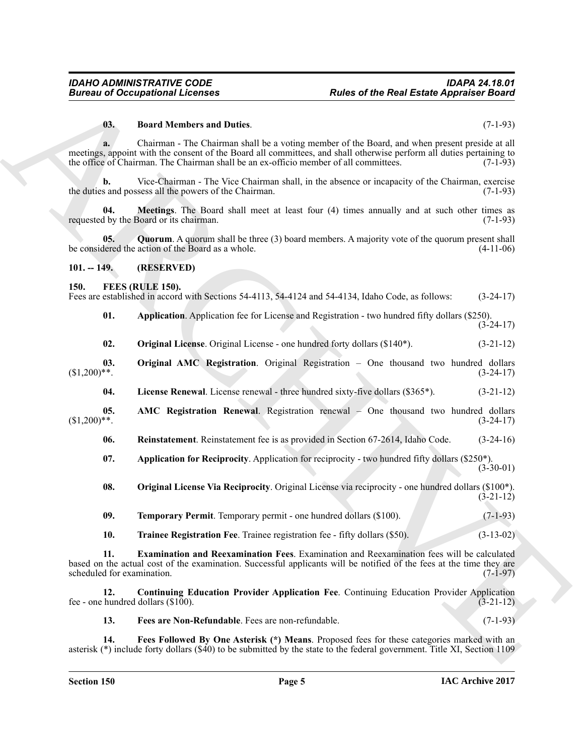### <span id="page-4-17"></span>**03. Board Members and Duties**. (7-1-93)

**a.** Chairman - The Chairman shall be a voting member of the Board, and when present preside at all meetings, appoint with the consent of the Board all committees, and shall otherwise perform all duties pertaining to the office of Chairman. The Chairman shall be an ex-officio member of all committees. (7-1-93)

**b.** Vice-Chairman - The Vice Chairman shall, in the absence or incapacity of the Chairman, exercise the duties and possess all the powers of the Chairman. (7-1-93)

<span id="page-4-18"></span>**04. Meetings**. The Board shall meet at least four (4) times annually and at such other times as if by the Board or its chairman. (7-1-93) requested by the Board or its chairman.

<span id="page-4-19"></span>**05. Quorum**. A quorum shall be three (3) board members. A majority vote of the quorum present shall be considered the action of the Board as a whole. (4-11-06)

### <span id="page-4-0"></span>**101. -- 149. (RESERVED)**

### <span id="page-4-2"></span><span id="page-4-1"></span>**150. FEES (RULE 150).**

Fees are established in accord with Sections 54-4113, 54-4124 and 54-4134, Idaho Code, as follows: (3-24-17)

<span id="page-4-4"></span>**01. Application**. Application fee for License and Registration - two hundred fifty dollars (\$250).  $(3-24-17)$ 

<span id="page-4-12"></span><span id="page-4-11"></span>

| 02. |  | <b>Original License.</b> Original License - one hundred forty dollars (\$140 <sup>*</sup> ). |  |  |  | $(3-21-12)$ |  |
|-----|--|----------------------------------------------------------------------------------------------|--|--|--|-------------|--|
|-----|--|----------------------------------------------------------------------------------------------|--|--|--|-------------|--|

**03.** Original AMC Registration. Original Registration – One thousand two hundred dollars (\$1,200)\*\*. (3-24-17)  $(3-24-17)$ 

<span id="page-4-10"></span><span id="page-4-3"></span>**04. License Renewal**. License renewal - three hundred sixty-five dollars (\$365\*). (3-21-12)

**05. AMC Registration Renewal**. Registration renewal – One thousand two hundred dollars (\$1,200)\*\*. (3-24-17)  $(3-24-17)$ 

<span id="page-4-14"></span>**06. Reinstatement**. Reinstatement fee is as provided in Section 67-2614, Idaho Code. (3-24-16)

<span id="page-4-5"></span>**07. Application for Reciprocity**. Application for reciprocity - two hundred fifty dollars (\$250\*).  $(3-30-01)$ 

<span id="page-4-13"></span>**08. Original License Via Reciprocity**. Original License via reciprocity - one hundred dollars (\$100\*). (3-21-12)

<span id="page-4-15"></span>**09. Temporary Permit**. Temporary permit - one hundred dollars (\$100). (7-1-93)

<span id="page-4-16"></span><span id="page-4-7"></span>**10. Trainee Registration Fee**. Trainee registration fee - fifty dollars (\$50). (3-13-02)

**Euroso of Occupations I. Form and Duties.**<br> **Rules of the Real Eastes Applement** Consideration of the Sand, and Archives (7.1-23)<br> **B. B. Constant Duties Constant Duties and Archives and Archives and Archives (7.1-23 11. Examination and Reexamination Fees**. Examination and Reexamination fees will be calculated based on the actual cost of the examination. Successful applicants will be notified of the fees at the time they are scheduled for examination.

**12. Continuing Education Provider Application Fee**. Continuing Education Provider Application fee - one hundred dollars (\$100).  $(3-21-12)$ 

<span id="page-4-9"></span><span id="page-4-8"></span><span id="page-4-6"></span>**13. Fees are Non-Refundable**. Fees are non-refundable. (7-1-93)

**14. Fees Followed By One Asterisk (\*) Means**. Proposed fees for these categories marked with an asterisk (\*) include forty dollars (\$40) to be submitted by the state to the federal government. Title XI, Section 1109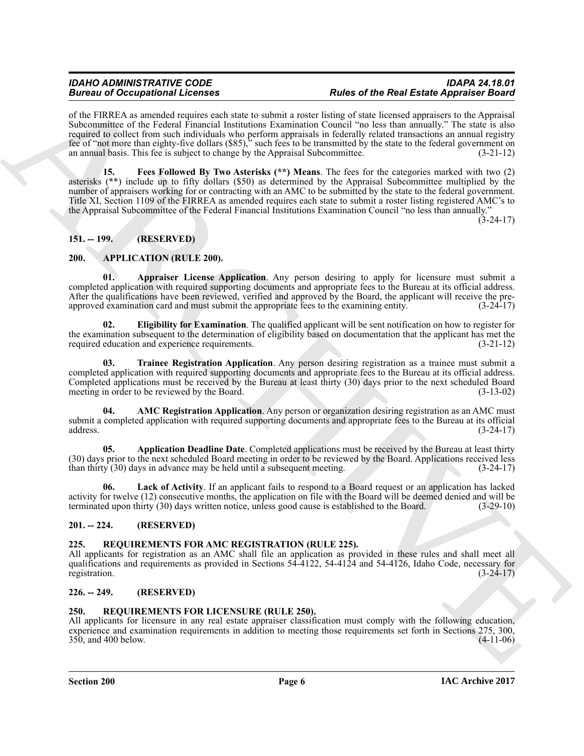### *IDAHO ADMINISTRATIVE CODE IDAPA 24.18.01* **Rules of the Real Estate Appraiser Board**

<span id="page-5-13"></span>of the FIRREA as amended requires each state to submit a roster listing of state licensed appraisers to the Appraisal Subcommittee of the Federal Financial Institutions Examination Council "no less than annually." The state is also required to collect from such individuals who perform appraisals in federally related transactions an annual registry fee of "not more than eighty-five dollars (\$85)," such fees to be transmitted by the state to the federal government on an annual basis. This fee is subject to change by the Appraisal Subcommittee. (3-21-12)

**Example 20** Conception of Conception Conception of the Real Example 20 Conception of the Real Example 20 Conception of the Conception of the Conception of the Conception of the Conception of the Conception of the Concept **15. Fees Followed By Two Asterisks (\*\*) Means**. The fees for the categories marked with two (2) asterisks (\*\*) include up to fifty dollars (\$50) as determined by the Appraisal Subcommittee multiplied by the number of appraisers working for or contracting with an AMC to be submitted by the state to the federal government. Title XI, Section 1109 of the FIRREA as amended requires each state to submit a roster listing registered AMC's to the Appraisal Subcommittee of the Federal Financial Institutions Examination Council "no less than annually."

 $(3-24-17)$ 

### <span id="page-5-0"></span>**151. -- 199. (RESERVED)**

### <span id="page-5-6"></span><span id="page-5-1"></span>**200. APPLICATION (RULE 200).**

<span id="page-5-9"></span>Appraiser License Application. Any person desiring to apply for licensure must submit a completed application with required supporting documents and appropriate fees to the Bureau at its official address. After the qualifications have been reviewed, verified and approved by the Board, the applicant will receive the pre-<br>approved examination card and must submit the appropriate fees to the examining entity. (3-24-17) approved examination card and must submit the appropriate fees to the examining entity.

<span id="page-5-10"></span>**02. Eligibility for Examination**. The qualified applicant will be sent notification on how to register for the examination subsequent to the determination of eligibility based on documentation that the applicant has met the required education and experience requirements. (3-21-12)

<span id="page-5-12"></span>**03. Trainee Registration Application**. Any person desiring registration as a trainee must submit a completed application with required supporting documents and appropriate fees to the Bureau at its official address. Completed applications must be received by the Bureau at least thirty (30) days prior to the next scheduled Board meeting in order to be reviewed by the Board. (3-13-02) meeting in order to be reviewed by the Board.

<span id="page-5-7"></span>**AMC Registration Application**. Any person or organization desiring registration as an AMC must submit a completed application with required supporting documents and appropriate fees to the Bureau at its official address. (3-24-17) address.  $(3-24-17)$ 

<span id="page-5-8"></span>**05. Application Deadline Date**. Completed applications must be received by the Bureau at least thirty (30) days prior to the next scheduled Board meeting in order to be reviewed by the Board. Applications received less than thirty (30) days in advance may be held until a subsequent meeting. (3-24-17) than thirty  $(30)$  days in advance may be held until a subsequent meeting.

<span id="page-5-11"></span>**06. Lack of Activity**. If an applicant fails to respond to a Board request or an application has lacked activity for twelve (12) consecutive months, the application on file with the Board will be deemed denied and will be terminated upon thirty (30) days written notice, unless good cause is established to the Board. (3-29-10)

### <span id="page-5-2"></span>**201. -- 224. (RESERVED)**

### <span id="page-5-14"></span><span id="page-5-3"></span>**225. REQUIREMENTS FOR AMC REGISTRATION (RULE 225).**

All applicants for registration as an AMC shall file an application as provided in these rules and shall meet all qualifications and requirements as provided in Sections 54-4122, 54-4124 and 54-4126, Idaho Code, necessary for registration. (3-24-17)

### <span id="page-5-4"></span>**226. -- 249. (RESERVED)**

### <span id="page-5-15"></span><span id="page-5-5"></span>**250. REQUIREMENTS FOR LICENSURE (RULE 250).**

All applicants for licensure in any real estate appraiser classification must comply with the following education, experience and examination requirements in addition to meeting those requirements set forth in Sections 275, 300,  $350$ , and  $400$  below.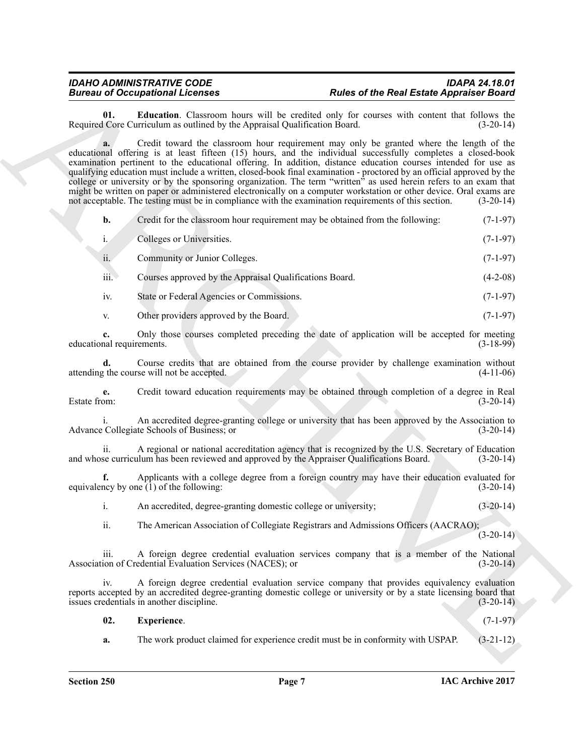<span id="page-6-0"></span>**01. Education**. Classroom hours will be credited only for courses with content that follows the Core Curriculum as outlined by the Appraisal Oualification Board. (3-20-14) Required Core Curriculum as outlined by the Appraisal Qualification Board.

Bureau of Cocagonism Licenses<br>
Request Controlling Licenses and Because Representations and the Result of the Result September Controlling in<br>
Request Controlling in Section 1998, the system of the Controlling Internation **a.** Credit toward the classroom hour requirement may only be granted where the length of the educational offering is at least fifteen (15) hours, and the individual successfully completes a closed-book examination pertinent to the educational offering. In addition, distance education courses intended for use as qualifying education must include a written, closed-book final examination - proctored by an official approved by the college or university or by the sponsoring organization. The term "written" as used herein refers to an exam that might be written on paper or administered electronically on a computer workstation or other device. Oral exams are not acceptable. The testing must be in compliance with the examination requirements of this section. (3-20-14)

| Credit for the classroom hour requirement may be obtained from the following: | $(7-1-97)$ |
|-------------------------------------------------------------------------------|------------|
| Colleges or Universities.                                                     | $(7-1-97)$ |

| $\cdot \cdot$<br>11. | Community or Junior Colleges. | $(7-1-97)$ |
|----------------------|-------------------------------|------------|
|                      |                               |            |

iii. Courses approved by the Appraisal Qualifications Board. (4-2-08)

- iv. State or Federal Agencies or Commissions. (7-1-97)
- v. Other providers approved by the Board. (7-1-97)

**c.** Only those courses completed preceding the date of application will be accepted for meeting nal requirements. (3-18-99) educational requirements.

**d.** Course credits that are obtained from the course provider by challenge examination without the course will not be accepted. (4-11-06) attending the course will not be accepted.

**e.** Credit toward education requirements may be obtained through completion of a degree in Real Estate from:  $(3-20-14)$ Estate from:  $(3-20-14)$ 

An accredited degree-granting college or university that has been approved by the Association to Advance Collegiate Schools of Business; or (3-20-14)

ii. A regional or national accreditation agency that is recognized by the U.S. Secretary of Education se curriculum has been reviewed and approved by the Appraiser Oualifications Board. (3-20-14) and whose curriculum has been reviewed and approved by the Appraiser Qualifications Board.

Applicants with a college degree from a foreign country may have their education evaluated for  $(1)$  of the following:  $(3-20-14)$ equivalency by one  $(1)$  of the following:

i. An accredited, degree-granting domestic college or university; (3-20-14)

ii. The American Association of Collegiate Registrars and Admissions Officers (AACRAO);

 $(3-20-14)$ 

iii. A foreign degree credential evaluation services company that is a member of the National ion of Credential Evaluation Services (NACES); or (3-20-14) Association of Credential Evaluation Services (NACES); or

iv. A foreign degree credential evaluation service company that provides equivalency evaluation reports accepted by an accredited degree-granting domestic college or university or by a state licensing board that issues credentials in another discipline. (3-20-14)

<span id="page-6-1"></span>

| 02. | Experience.                                                                      | $(7-1-97)$  |
|-----|----------------------------------------------------------------------------------|-------------|
|     | The work product claimed for experience credit must be in conformity with USPAP. | $(3-21-12)$ |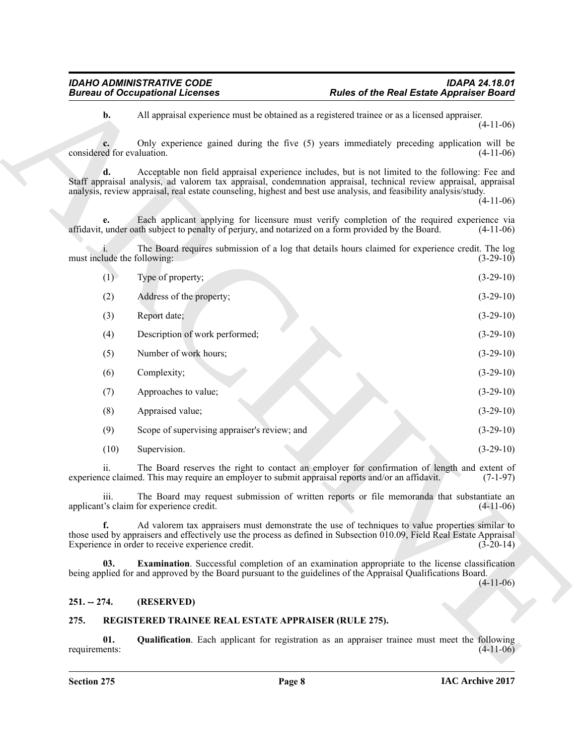|                             | <b>Bureau of Occupational Licenses</b>               | <b>Rules of the Real Estate Appraiser Board</b>                                                                                                                                                                                                                                                                                             |             |
|-----------------------------|------------------------------------------------------|---------------------------------------------------------------------------------------------------------------------------------------------------------------------------------------------------------------------------------------------------------------------------------------------------------------------------------------------|-------------|
| b.                          |                                                      | All appraisal experience must be obtained as a registered trainee or as a licensed appraiser.                                                                                                                                                                                                                                               | $(4-11-06)$ |
| considered for evaluation.  |                                                      | Only experience gained during the five (5) years immediately preceding application will be                                                                                                                                                                                                                                                  | $(4-11-06)$ |
|                             |                                                      | Acceptable non field appraisal experience includes, but is not limited to the following: Fee and<br>Staff appraisal analysis, ad valorem tax appraisal, condemnation appraisal, technical review appraisal, appraisal<br>analysis, review appraisal, real estate counseling, highest and best use analysis, and feasibility analysis/study. | $(4-11-06)$ |
| e.                          |                                                      | Each applicant applying for licensure must verify completion of the required experience via<br>affidavit, under oath subject to penalty of perjury, and notarized on a form provided by the Board.                                                                                                                                          | $(4-11-06)$ |
| must include the following: |                                                      | The Board requires submission of a log that details hours claimed for experience credit. The log                                                                                                                                                                                                                                            | $(3-29-10)$ |
| (1)                         | Type of property;                                    |                                                                                                                                                                                                                                                                                                                                             | $(3-29-10)$ |
| (2)                         | Address of the property;                             |                                                                                                                                                                                                                                                                                                                                             | $(3-29-10)$ |
| (3)                         | Report date;                                         |                                                                                                                                                                                                                                                                                                                                             | $(3-29-10)$ |
| (4)                         | Description of work performed;                       |                                                                                                                                                                                                                                                                                                                                             | $(3-29-10)$ |
| (5)                         | Number of work hours;                                |                                                                                                                                                                                                                                                                                                                                             | $(3-29-10)$ |
| (6)                         | Complexity;                                          |                                                                                                                                                                                                                                                                                                                                             | $(3-29-10)$ |
| (7)                         | Approaches to value;                                 |                                                                                                                                                                                                                                                                                                                                             | $(3-29-10)$ |
| (8)                         | Appraised value;                                     |                                                                                                                                                                                                                                                                                                                                             | $(3-29-10)$ |
| (9)                         | Scope of supervising appraiser's review; and         |                                                                                                                                                                                                                                                                                                                                             | $(3-29-10)$ |
| (10)                        | Supervision.                                         |                                                                                                                                                                                                                                                                                                                                             | $(3-29-10)$ |
| ii.                         |                                                      | The Board reserves the right to contact an employer for confirmation of length and extent of<br>experience claimed. This may require an employer to submit appraisal reports and/or an affidavit.                                                                                                                                           | $(7-1-97)$  |
| <i>iii.</i>                 | applicant's claim for experience credit.             | The Board may request submission of written reports or file memoranda that substantiate an                                                                                                                                                                                                                                                  | $(4-11-06)$ |
| f.                          | Experience in order to receive experience credit.    | Ad valorem tax appraisers must demonstrate the use of techniques to value properties similar to<br>those used by appraisers and effectively use the process as defined in Subsection 010.09, Field Real Estate Appraisal                                                                                                                    | $(3-20-14)$ |
| 03.                         |                                                      | <b>Examination</b> . Successful completion of an examination appropriate to the license classification<br>being applied for and approved by the Board pursuant to the guidelines of the Appraisal Qualifications Board.                                                                                                                     | $(4-11-06)$ |
| $251. - 274.$               | (RESERVED)                                           |                                                                                                                                                                                                                                                                                                                                             |             |
| 275.                        | REGISTERED TRAINEE REAL ESTATE APPRAISER (RULE 275). |                                                                                                                                                                                                                                                                                                                                             |             |
| 01.                         |                                                      | <b>Qualification</b> . Each applicant for registration as an appraiser trainee must meet the following                                                                                                                                                                                                                                      | $(4-11-06)$ |

### <span id="page-7-4"></span><span id="page-7-0"></span>**251. -- 274. (RESERVED)**

### <span id="page-7-3"></span><span id="page-7-2"></span><span id="page-7-1"></span>**275. REGISTERED TRAINEE REAL ESTATE APPRAISER (RULE 275).**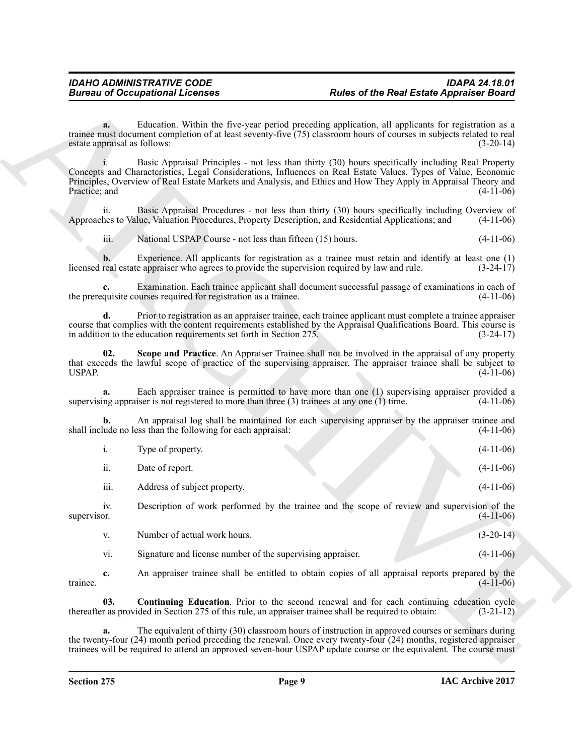<span id="page-8-1"></span><span id="page-8-0"></span>

|                                    | <b>Bureau of Occupational Licenses</b>                                                           | <b>Rules of the Real Estate Appraiser Board</b>                                                                                                                                                                                                                                                                                               |             |
|------------------------------------|--------------------------------------------------------------------------------------------------|-----------------------------------------------------------------------------------------------------------------------------------------------------------------------------------------------------------------------------------------------------------------------------------------------------------------------------------------------|-------------|
| a.<br>estate appraisal as follows: |                                                                                                  | Education. Within the five-year period preceding application, all applicants for registration as a<br>trainee must document completion of at least seventy-five (75) classroom hours of courses in subjects related to real                                                                                                                   | $(3-20-14)$ |
| Practice; and                      |                                                                                                  | Basic Appraisal Principles - not less than thirty (30) hours specifically including Real Property<br>Concepts and Characteristics, Legal Considerations, Influences on Real Estate Values, Types of Value, Economic<br>Principles, Overview of Real Estate Markets and Analysis, and Ethics and How They Apply in Appraisal Theory and        | $(4-11-06)$ |
| ii.                                |                                                                                                  | Basic Appraisal Procedures - not less than thirty (30) hours specifically including Overview of<br>Approaches to Value, Valuation Procedures, Property Description, and Residential Applications; and                                                                                                                                         | $(4-11-06)$ |
| iii.                               | National USPAP Course - not less than fifteen (15) hours.                                        |                                                                                                                                                                                                                                                                                                                                               | $(4-11-06)$ |
| b.                                 | licensed real estate appraiser who agrees to provide the supervision required by law and rule.   | Experience. All applicants for registration as a trainee must retain and identify at least one (1)                                                                                                                                                                                                                                            | $(3-24-17)$ |
| c.                                 | the prerequisite courses required for registration as a trainee.                                 | Examination. Each trainee applicant shall document successful passage of examinations in each of                                                                                                                                                                                                                                              | $(4-11-06)$ |
| d.                                 | in addition to the education requirements set forth in Section 275.                              | Prior to registration as an appraiser trainee, each trainee applicant must complete a trainee appraiser<br>course that complies with the content requirements established by the Appraisal Qualifications Board. This course is                                                                                                               | $(3-24-17)$ |
| 02.<br><b>USPAP.</b>               |                                                                                                  | Scope and Practice. An Appraiser Trainee shall not be involved in the appraisal of any property<br>that exceeds the lawful scope of practice of the supervising appraiser. The appraiser trainee shall be subject to                                                                                                                          | $(4-11-06)$ |
| a.                                 | supervising appraiser is not registered to more than three $(3)$ trainees at any one $(1)$ time. | Each appraiser trainee is permitted to have more than one (1) supervising appraiser provided a                                                                                                                                                                                                                                                | $(4-11-06)$ |
| b.                                 | shall include no less than the following for each appraisal:                                     | An appraisal log shall be maintained for each supervising appraiser by the appraiser trainee and                                                                                                                                                                                                                                              | $(4-11-06)$ |
| i.                                 | Type of property.                                                                                |                                                                                                                                                                                                                                                                                                                                               | $(4-11-06)$ |
| ii.                                | Date of report.                                                                                  |                                                                                                                                                                                                                                                                                                                                               | $(4-11-06)$ |
| iii.                               | Address of subject property.                                                                     |                                                                                                                                                                                                                                                                                                                                               | $(4-11-06)$ |
| 1V.<br>supervisor.                 |                                                                                                  | Description of work performed by the trainee and the scope of review and supervision of the                                                                                                                                                                                                                                                   | $(4-11-06)$ |
| V.                                 | Number of actual work hours.                                                                     |                                                                                                                                                                                                                                                                                                                                               | $(3-20-14)$ |
| vi.                                | Signature and license number of the supervising appraiser.                                       |                                                                                                                                                                                                                                                                                                                                               | $(4-11-06)$ |
| c.<br>trainee.                     |                                                                                                  | An appraiser trainee shall be entitled to obtain copies of all appraisal reports prepared by the                                                                                                                                                                                                                                              | $(4-11-06)$ |
| 03.                                |                                                                                                  | <b>Continuing Education</b> . Prior to the second renewal and for each continuing education cycle<br>thereafter as provided in Section 275 of this rule, an appraiser trainee shall be required to obtain:                                                                                                                                    | $(3-21-12)$ |
| a.                                 |                                                                                                  | The equivalent of thirty (30) classroom hours of instruction in approved courses or seminars during<br>the twenty-four (24) month period preceding the renewal. Once every twenty-four (24) months, registered appraiser<br>trainees will be required to attend an approved seven-hour USPAP update course or the equivalent. The course must |             |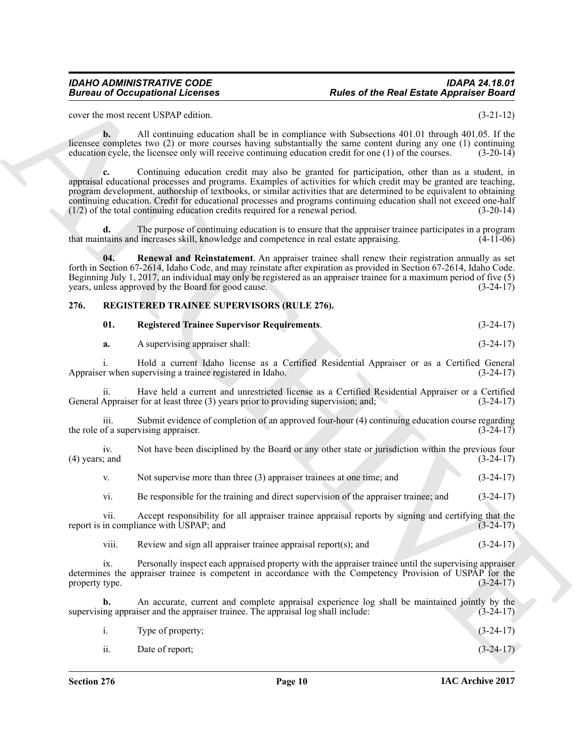### *IDAHO ADMINISTRATIVE CODE IDAPA 24.18.01* **Rules of the Real Estate Appraiser Board**

cover the most recent USPAP edition. (3-21-12)

**b.** All continuing education shall be in compliance with Subsections 401.01 through 401.05. If the licensee completes two (2) or more courses having substantially the same content during any one (1) continuing education cycle, the licensee only will receive continuing education credit for one (1) of the courses. (3-20-14)

**Bureau of Occupations I. Fourte of the Real Easter Appension Easter<br>
Sources to a method (SNN) visites of the SNN Eastern Control of the SNN Eastern Control of the SNN Eastern Control of the SNN Eastern Control of the SN c.** Continuing education credit may also be granted for participation, other than as a student, in appraisal educational processes and programs. Examples of activities for which credit may be granted are teaching, program development, authorship of textbooks, or similar activities that are determined to be equivalent to obtaining continuing education. Credit for educational processes and programs continuing education shall not exceed one-half (1/2) of the total continuing education credits required for a renewal period. (3-20-14)  $(1/2)$  of the total continuing education credits required for a renewal period.

**d.** The purpose of continuing education is to ensure that the appraiser trainee participates in a program trains and increases skill. knowledge and competence in real estate appraising. (4-11-06) that maintains and increases skill, knowledge and competence in real estate appraising.

<span id="page-9-1"></span>**04. Renewal and Reinstatement**. An appraiser trainee shall renew their registration annually as set forth in Section 67-2614, Idaho Code, and may reinstate after expiration as provided in Section 67-2614, Idaho Code. Beginning July 1, 2017, an individual may only be registered as an appraiser trainee for a maximum period of five (5) years, unless approved by the Board for good cause. (3-24-17)

### <span id="page-9-0"></span>**276. REGISTERED TRAINEE SUPERVISORS (RULE 276).**

<span id="page-9-3"></span><span id="page-9-2"></span>

| <b>Registered Trainee Supervisor Requirements.</b> | $(3-24-17)$ |
|----------------------------------------------------|-------------|
|                                                    |             |

| а. | A supervising appraiser shall: |  |  |  | $(3-24-17)$ |
|----|--------------------------------|--|--|--|-------------|
|----|--------------------------------|--|--|--|-------------|

i. Hold a current Idaho license as a Certified Residential Appraiser or as a Certified General Appraiser when supervising a trainee registered in Idaho.

ii. Have held a current and unrestricted license as a Certified Residential Appraiser or a Certified General Appraiser for at least three  $(3)$  years prior to providing supervision; and;

iii. Submit evidence of completion of an approved four-hour (4) continuing education course regarding the role of a supervising appraiser.  $(3-24-17)$ 

iv. Not have been disciplined by the Board or any other state or jurisdiction within the previous four cand  $(4)$  years; and

v. Not supervise more than three (3) appraiser trainees at one time; and (3-24-17)

vi. Be responsible for the training and direct supervision of the appraiser trainee; and (3-24-17)

vii. Accept responsibility for all appraiser trainee appraisal reports by signing and certifying that the in compliance with USPAP; and report is in compliance with USPAP; and

viii. Review and sign all appraiser trainee appraisal report(s); and  $(3-24-17)$ 

ix. Personally inspect each appraised property with the appraiser trainee until the supervising appraiser determines the appraiser trainee is competent in accordance with the Competency Provision of USPAP for the property type. (3-24-17) property type.

An accurate, current and complete appraisal experience log shall be maintained jointly by the iser and the appraiser trainee. The appraisal log shall include: (3-24-17) supervising appraiser and the appraiser trainee. The appraisal log shall include:

|  | Type of property; |  | $(3-24-17)$ |
|--|-------------------|--|-------------|
|--|-------------------|--|-------------|

| $\overline{\mathbf{u}}$ . | Date of report; | $(3-24-17)$ |
|---------------------------|-----------------|-------------|
|                           |                 |             |
|                           |                 |             |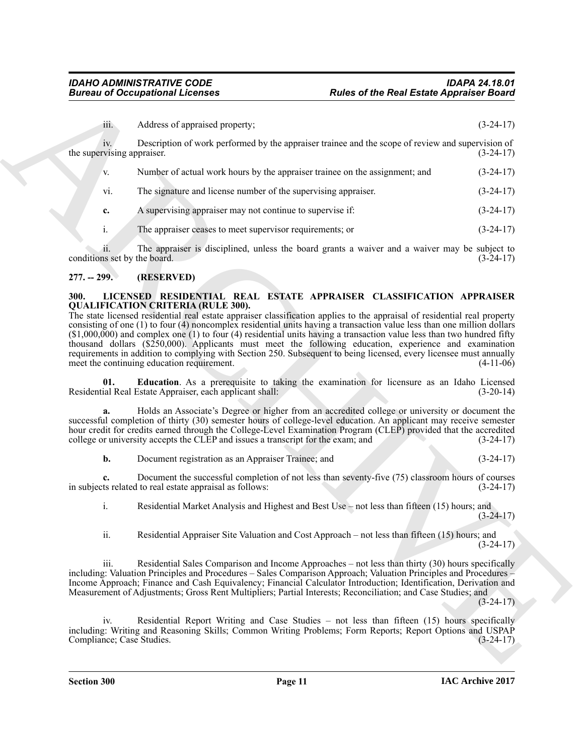| iii.<br>Address of appraised property;<br>IV.<br>the supervising appraiser.<br>Number of actual work hours by the appraiser trainee on the assignment; and<br>V.<br>The signature and license number of the supervising appraiser.<br>vi.                                                                                                                                                                                                                                                                                                                                                                                                                                                                  | $(3-24-17)$<br>Description of work performed by the appraiser trainee and the scope of review and supervision of<br>$(3-24-17)$ |
|------------------------------------------------------------------------------------------------------------------------------------------------------------------------------------------------------------------------------------------------------------------------------------------------------------------------------------------------------------------------------------------------------------------------------------------------------------------------------------------------------------------------------------------------------------------------------------------------------------------------------------------------------------------------------------------------------------|---------------------------------------------------------------------------------------------------------------------------------|
|                                                                                                                                                                                                                                                                                                                                                                                                                                                                                                                                                                                                                                                                                                            |                                                                                                                                 |
|                                                                                                                                                                                                                                                                                                                                                                                                                                                                                                                                                                                                                                                                                                            |                                                                                                                                 |
|                                                                                                                                                                                                                                                                                                                                                                                                                                                                                                                                                                                                                                                                                                            | $(3-24-17)$                                                                                                                     |
|                                                                                                                                                                                                                                                                                                                                                                                                                                                                                                                                                                                                                                                                                                            | $(3-24-17)$                                                                                                                     |
| A supervising appraiser may not continue to supervise if:<br>c.                                                                                                                                                                                                                                                                                                                                                                                                                                                                                                                                                                                                                                            | $(3-24-17)$                                                                                                                     |
| i.<br>The appraiser ceases to meet supervisor requirements; or                                                                                                                                                                                                                                                                                                                                                                                                                                                                                                                                                                                                                                             | $(3-24-17)$                                                                                                                     |
| 11.<br>conditions set by the board.                                                                                                                                                                                                                                                                                                                                                                                                                                                                                                                                                                                                                                                                        | The appraiser is disciplined, unless the board grants a waiver and a waiver may be subject to<br>$(3-24-17)$                    |
| $277. - 299.$<br>(RESERVED)                                                                                                                                                                                                                                                                                                                                                                                                                                                                                                                                                                                                                                                                                |                                                                                                                                 |
| <b>QUALIFICATION CRITERIA (RULE 300).</b><br>The state licensed residential real estate appraiser classification applies to the appraisal of residential real property<br>consisting of one (1) to four (4) noncomplex residential units having a transaction value less than one million dollars<br>$($1,000,000)$ and complex one (1) to four (4) residential units having a transaction value less than two hundred fifty<br>thousand dollars (\$250,000). Applicants must meet the following education, experience and examination<br>requirements in addition to complying with Section 250. Subsequent to being licensed, every licensee must annually<br>meet the continuing education requirement. | $(4-11-06)$                                                                                                                     |
| 01.<br>Residential Real Estate Appraiser, each applicant shall:                                                                                                                                                                                                                                                                                                                                                                                                                                                                                                                                                                                                                                            | Education. As a prerequisite to taking the examination for licensure as an Idaho Licensed<br>$(3-20-14)$                        |
| a.<br>successful completion of thirty (30) semester hours of college-level education. An applicant may receive semester<br>hour credit for credits earned through the College-Level Examination Program (CLEP) provided that the accredited<br>college or university accepts the CLEP and issues a transcript for the exam; and                                                                                                                                                                                                                                                                                                                                                                            | Holds an Associate's Degree or higher from an accredited college or university or document the<br>$(3-24-17)$                   |
| b.<br>Document registration as an Appraiser Trainee; and                                                                                                                                                                                                                                                                                                                                                                                                                                                                                                                                                                                                                                                   | $(3-24-17)$                                                                                                                     |
| c.<br>in subjects related to real estate appraisal as follows:                                                                                                                                                                                                                                                                                                                                                                                                                                                                                                                                                                                                                                             | Document the successful completion of not less than seventy-five (75) classroom hours of courses<br>$(3-24-17)$                 |
| Residential Market Analysis and Highest and Best Use - not less than fifteen (15) hours; and<br>$\mathbf{i}$ .                                                                                                                                                                                                                                                                                                                                                                                                                                                                                                                                                                                             | $(3-24-17)$                                                                                                                     |
| ii.                                                                                                                                                                                                                                                                                                                                                                                                                                                                                                                                                                                                                                                                                                        | Residential Appraiser Site Valuation and Cost Approach – not less than fifteen (15) hours; and<br>$(3-24-17)$                   |
| 111.<br>including: Valuation Principles and Procedures – Sales Comparison Approach; Valuation Principles and Procedures –<br>Income Approach; Finance and Cash Equivalency; Financial Calculator Introduction; Identification, Derivation and<br>Measurement of Adjustments; Gross Rent Multipliers; Partial Interests; Reconciliation; and Case Studies; and                                                                                                                                                                                                                                                                                                                                              | Residential Sales Comparison and Income Approaches – not less than thirty (30) hours specifically<br>$(3-24-17)$                |
| IV.                                                                                                                                                                                                                                                                                                                                                                                                                                                                                                                                                                                                                                                                                                        | Residential Report Writing and Case Studies – not less than fifteen (15) hours specifically                                     |
| including: Writing and Reasoning Skills; Common Writing Problems; Form Reports; Report Options and USPAP<br>Compliance; Case Studies.                                                                                                                                                                                                                                                                                                                                                                                                                                                                                                                                                                      | $(3-24-17)$                                                                                                                     |

### <span id="page-10-0"></span>**277. -- 299. (RESERVED)**

### <span id="page-10-3"></span><span id="page-10-2"></span><span id="page-10-1"></span>**300. LICENSED RESIDENTIAL REAL ESTATE APPRAISER CLASSIFICATION APPRAISER QUALIFICATION CRITERIA (RULE 300).**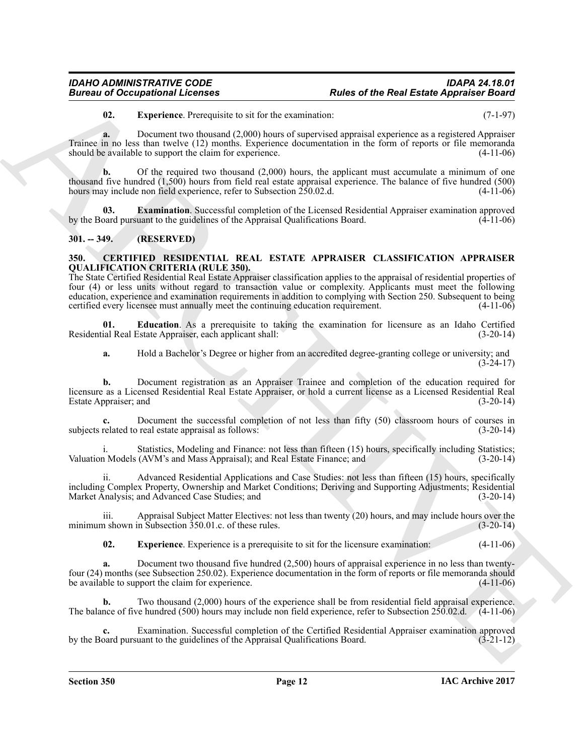## **Rules of the Real Estate Appraiser Board**

<span id="page-11-6"></span>**02. Experience**. Prerequisite to sit for the examination: (7-1-97)

**a.** Document two thousand (2,000) hours of supervised appraisal experience as a registered Appraiser Trainee in no less than twelve (12) months. Experience documentation in the form of reports or file memoranda should be available to support the claim for experience. (4-11-06)

**b.** Of the required two thousand (2,000) hours, the applicant must accumulate a minimum of one thousand five hundred (1,500) hours from field real estate appraisal experience. The balance of five hundred (500) hours may include non field experience, refer to Subsection 250.02.d. (4-11-06)

<span id="page-11-5"></span>**03. Examination**. Successful completion of the Licensed Residential Appraiser examination approved oard pursuant to the guidelines of the Appraisal Qualifications Board. (4-11-06) by the Board pursuant to the guidelines of the Appraisal Qualifications Board.

### <span id="page-11-0"></span>**301. -- 349. (RESERVED)**

### <span id="page-11-2"></span><span id="page-11-1"></span>**350. CERTIFIED RESIDENTIAL REAL ESTATE APPRAISER CLASSIFICATION APPRAISER QUALIFICATION CRITERIA (RULE 350).**

Bureau of Occupations I. Eventures are the Real Estate Appendix Chinese Estate Appendix Chinese Change and the state and the content of the Chinese Chinese Chinese Chinese Chinese Chinese Chinese Chinese Chinese Chinese C The State Certified Residential Real Estate Appraiser classification applies to the appraisal of residential properties of four (4) or less units without regard to transaction value or complexity. Applicants must meet the following education, experience and examination requirements in addition to complying with Section 250. Subsequent to being certified every licensee must annually meet the continuing education requirement.

**01. Education**. As a prerequisite to taking the examination for licensure as an Idaho Certified in Real Estate Appraiser, each applicant shall: (3-20-14) Residential Real Estate Appraiser, each applicant shall:

<span id="page-11-3"></span>**a.** Hold a Bachelor's Degree or higher from an accredited degree-granting college or university; and (3-24-17)

**b.** Document registration as an Appraiser Trainee and completion of the education required for licensure as a Licensed Residential Real Estate Appraiser, or hold a current license as a Licensed Residential Real Estate Appraiser; and

**c.** Document the successful completion of not less than fifty (50) classroom hours of courses in subjects related to real estate appraisal as follows: (3-20-14) (3-20-14)

i. Statistics, Modeling and Finance: not less than fifteen (15) hours, specifically including Statistics;<br>n Models (AVM's and Mass Appraisal): and Real Estate Finance: and (3-20-14) Valuation Models (AVM's and Mass Appraisal); and Real Estate Finance; and

Advanced Residential Applications and Case Studies: not less than fifteen (15) hours, specifically including Complex Property, Ownership and Market Conditions; Deriving and Supporting Adjustments; Residential Market Analysis; and Advanced Case Studies; and

iii. Appraisal Subject Matter Electives: not less than twenty (20) hours, and may include hours over the n shown in Subsection 350.01.c. of these rules. (3-20-14) minimum shown in Subsection  $350.01$ .c. of these rules.

<span id="page-11-4"></span>**02. Experience**. Experience is a prerequisite to sit for the licensure examination: (4-11-06)

**a.** Document two thousand five hundred (2,500) hours of appraisal experience in no less than twentyfour (24) months (see Subsection 250.02). Experience documentation in the form of reports or file memoranda should be available to support the claim for experience.

Two thousand (2,000) hours of the experience shall be from residential field appraisal experience.<br>
ve hundred (500) hours may include non field experience, refer to Subsection 250.02.d. (4-11-06) The balance of five hundred (500) hours may include non field experience, refer to Subsection  $250.02$ .d.

**c.** Examination. Successful completion of the Certified Residential Appraiser examination approved paralyor paralyor examination approved of the Appraisal Qualifications Board. (3-21-12) by the Board pursuant to the guidelines of the Appraisal Qualifications Board.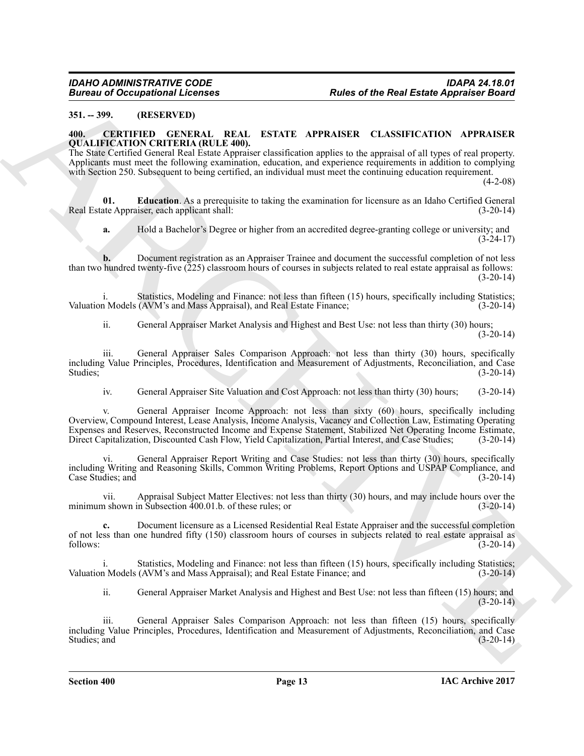### <span id="page-12-0"></span>**351. -- 399. (RESERVED)**

### <span id="page-12-2"></span><span id="page-12-1"></span>**400. CERTIFIED GENERAL REAL ESTATE APPRAISER CLASSIFICATION APPRAISER QUALIFICATION CRITERIA (RULE 400).**

The State Certified General Real Estate Appraiser classification applies to the appraisal of all types of real property. Applicants must meet the following examination, education, and experience requirements in addition to complying with Section 250. Subsequent to being certified, an individual must meet the continuing education requirement.

 $(4-2-08)$ 

**01. Education**. As a prerequisite to taking the examination for licensure as an Idaho Certified General ate Appraiser, each applicant shall: (3-20-14) Real Estate Appraiser, each applicant shall:

<span id="page-12-3"></span>**a.** Hold a Bachelor's Degree or higher from an accredited degree-granting college or university; and  $(3-24-17)$ 

**b.** Document registration as an Appraiser Trainee and document the successful completion of not less than two hundred twenty-five (225) classroom hours of courses in subjects related to real estate appraisal as follows:  $(3-20-14)$ 

i. Statistics, Modeling and Finance: not less than fifteen (15) hours, specifically including Statistics;<br>n Models (AVM's and Mass Appraisal), and Real Estate Finance: (3-20-14) Valuation Models (AVM's and Mass Appraisal), and Real Estate Finance;

ii. General Appraiser Market Analysis and Highest and Best Use: not less than thirty (30) hours;  $(3-20-14)$ 

iii. General Appraiser Sales Comparison Approach: not less than thirty (30) hours, specifically including Value Principles, Procedures, Identification and Measurement of Adjustments, Reconciliation, and Case Studies;  $(3-20-14)$ 

iv. General Appraiser Site Valuation and Cost Approach: not less than thirty (30) hours; (3-20-14)

**Europe of Occupational Licenson<br>
SUILD CONTROLLY (1978)**<br>
And the Real Estate Appendix Phone<br>
ARCHIVE CONTROLLY (1978)<br>
ARCHIVE CONTROLLY (1978)<br>
ARCHIVE CONTROLLY (1978)<br>
ARCHIVE CONTROLLY (1978)<br>
ARCHIVE CONTROLLY (197 v. General Appraiser Income Approach: not less than sixty (60) hours, specifically including Overview, Compound Interest, Lease Analysis, Income Analysis, Vacancy and Collection Law, Estimating Operating Expenses and Reserves, Reconstructed Income and Expense Statement, Stabilized Net Operating Income Estimate, Direct Capitalization, Discounted Cash Flow, Yield Capitalization, Partial Interest, and Case Studies;

vi. General Appraiser Report Writing and Case Studies: not less than thirty (30) hours, specifically including Writing and Reasoning Skills, Common Writing Problems, Report Options and USPAP Compliance, and Case Studies; and (3-20-14)

vii. Appraisal Subject Matter Electives: not less than thirty (30) hours, and may include hours over the minimum shown in Subsection 400.01.b. of these rules; or (3-20-14)

**c.** Document licensure as a Licensed Residential Real Estate Appraiser and the successful completion of not less than one hundred fifty (150) classroom hours of courses in subjects related to real estate appraisal as follows: (3-20-14) follows: (3-20-14)

Statistics, Modeling and Finance: not less than fifteen (15) hours, specifically including Statistics; Valuation Models (AVM's and Mass Appraisal); and Real Estate Finance; and (3-20-14)

ii. General Appraiser Market Analysis and Highest and Best Use: not less than fifteen (15) hours; and  $(3-20-14)$ 

iii. General Appraiser Sales Comparison Approach: not less than fifteen (15) hours, specifically including Value Principles, Procedures, Identification and Measurement of Adjustments, Reconciliation, and Case Studies; and  $(3-20-14)$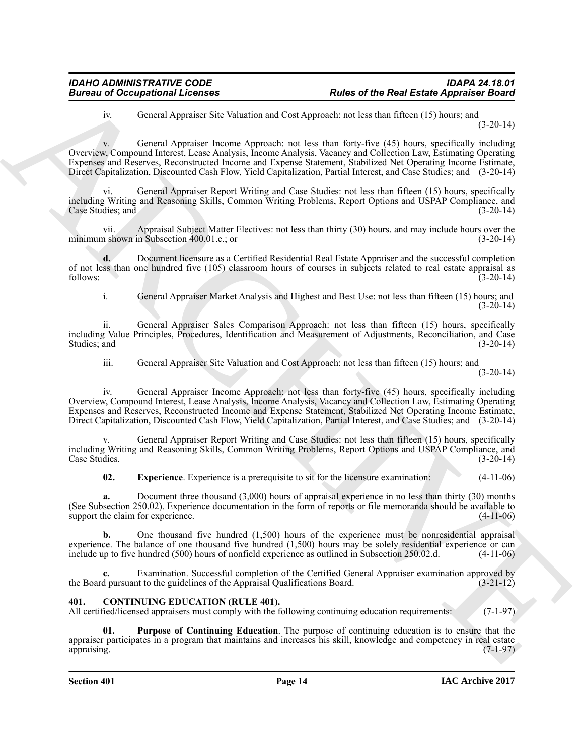iv. General Appraiser Site Valuation and Cost Approach: not less than fifteen (15) hours; and (3-20-14)

Bureau of Occupations I. Leonards New York Contains and the Rosi Entre Appearance Books.<br>
Archives: Contain Appearance Substitutions and Cost Appearance Archives: The Contract Cost of the Contain and Cost Appearance Conta v. General Appraiser Income Approach: not less than forty-five (45) hours, specifically including Overview, Compound Interest, Lease Analysis, Income Analysis, Vacancy and Collection Law, Estimating Operating Expenses and Reserves, Reconstructed Income and Expense Statement, Stabilized Net Operating Income Estimate, Direct Capitalization, Discounted Cash Flow, Yield Capitalization, Partial Interest, and Case Studies; and (3-20-14)

General Appraiser Report Writing and Case Studies: not less than fifteen (15) hours, specifically including Writing and Reasoning Skills, Common Writing Problems, Report Options and USPAP Compliance, and Case Studies; and

vii. Appraisal Subject Matter Electives: not less than thirty (30) hours. and may include hours over the a shown in Subsection 400.01.c.; or minimum shown in Subsection  $400.01.c.;$  or

**d.** Document licensure as a Certified Residential Real Estate Appraiser and the successful completion of not less than one hundred five (105) classroom hours of courses in subjects related to real estate appraisal as follows: (3-20-14) follows: (3-20-14)

i. General Appraiser Market Analysis and Highest and Best Use: not less than fifteen (15) hours; and (3-20-14)

ii. General Appraiser Sales Comparison Approach: not less than fifteen (15) hours, specifically including Value Principles, Procedures, Identification and Measurement of Adjustments, Reconciliation, and Case Studies; and (3-20-14) (3-20-14)

iii. General Appraiser Site Valuation and Cost Approach: not less than fifteen (15) hours; and

 $(3-20-14)$ 

iv. General Appraiser Income Approach: not less than forty-five (45) hours, specifically including Overview, Compound Interest, Lease Analysis, Income Analysis, Vacancy and Collection Law, Estimating Operating Expenses and Reserves, Reconstructed Income and Expense Statement, Stabilized Net Operating Income Estimate, Direct Capitalization, Discounted Cash Flow, Yield Capitalization, Partial Interest, and Case Studies; and (3-20-14)

General Appraiser Report Writing and Case Studies: not less than fifteen (15) hours, specifically including Writing and Reasoning Skills, Common Writing Problems, Report Options and USPAP Compliance, and Case Studies. (3-20-14)

<span id="page-13-1"></span>**02. Experience**. Experience is a prerequisite to sit for the licensure examination: (4-11-06)

**a.** Document three thousand (3,000) hours of appraisal experience in no less than thirty (30) months (See Subsection 250.02). Experience documentation in the form of reports or file memoranda should be available to support the claim for experience. (4-11-06)

**b.** One thousand five hundred (1,500) hours of the experience must be nonresidential appraisal experience. The balance of one thousand five hundred  $(1,500)$  hours may be solely residential experience or can include up to five hundred  $(500)$  hours of nonfield experience as outlined in Subsection 250.02.d.  $(4-11-0$ include up to five hundred (500) hours of nonfield experience as outlined in Subsection 250.02.d.

Examination. Successful completion of the Certified General Appraiser examination approved by the quidelines of the Appraisal Qualifications Board. (3-21-12) the Board pursuant to the guidelines of the Appraisal Qualifications Board.

### <span id="page-13-2"></span><span id="page-13-0"></span>**401. CONTINUING EDUCATION (RULE 401).**

All certified/licensed appraisers must comply with the following continuing education requirements: (7-1-97)

<span id="page-13-3"></span>**01. Purpose of Continuing Education**. The purpose of continuing education is to ensure that the appraiser participates in a program that maintains and increases his skill, knowledge and competency in real estate appraising. (7-1-97) appraising. (7-1-97)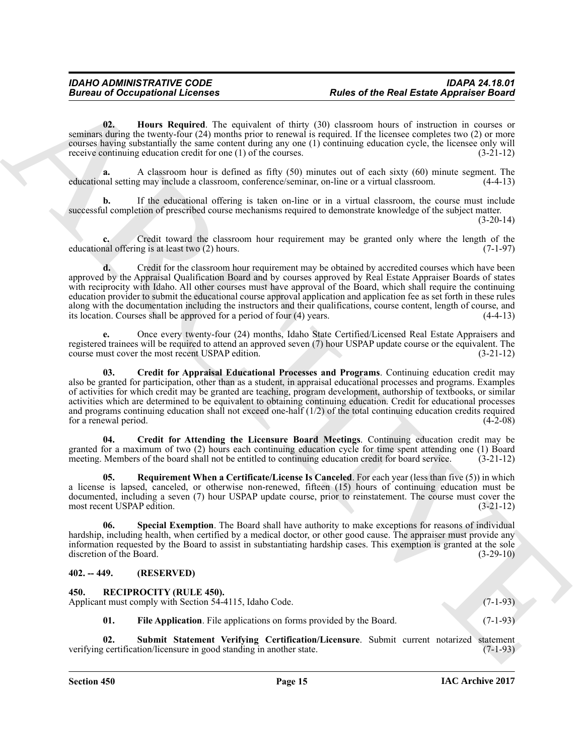<span id="page-14-4"></span>**02. Hours Required**. The equivalent of thirty (30) classroom hours of instruction in courses or seminars during the twenty-four (24) months prior to renewal is required. If the licensee completes two (2) or more courses having substantially the same content during any one (1) continuing education cycle, the licensee only will receive continuing education credit for one (1) of the courses. (3-21-12)

**a.** A classroom hour is defined as fifty (50) minutes out of each sixty (60) minute segment. The educational setting may include a classroom, conference/seminar, on-line or a virtual classroom. (4-4-13)

**b.** If the educational offering is taken on-line or in a virtual classroom, the course must include successful completion of prescribed course mechanisms required to demonstrate knowledge of the subject matter.

 $(3-20-14)$ 

**c.** Credit toward the classroom hour requirement may be granted only where the length of the educational offering is at least two (2) hours. (7-1-97)

**Example 20 Referred the Result of the Result of the Result and ARCHIVES CONFIGENTIES**<br>
Some of the Results of the Results of the Results of the Results of the Results of the Results of the Results of the Results of the **d.** Credit for the classroom hour requirement may be obtained by accredited courses which have been approved by the Appraisal Qualification Board and by courses approved by Real Estate Appraiser Boards of states with reciprocity with Idaho. All other courses must have approval of the Board, which shall require the continuing education provider to submit the educational course approval application and application fee as set forth in these rules along with the documentation including the instructors and their qualifications, course content, length of course, and its location. Courses shall be approved for a period of four (4) years. (4-4-13) its location. Courses shall be approved for a period of four  $(4)$  years.

**e.** Once every twenty-four (24) months, Idaho State Certified/Licensed Real Estate Appraisers and registered trainees will be required to attend an approved seven (7) hour USPAP update course or the equivalent. The course must cover the most recent USPAP edition. (3-21-12) course must cover the most recent USPAP edition.

<span id="page-14-2"></span>**03. Credit for Appraisal Educational Processes and Programs**. Continuing education credit may also be granted for participation, other than as a student, in appraisal educational processes and programs. Examples of activities for which credit may be granted are teaching, program development, authorship of textbooks, or similar activities which are determined to be equivalent to obtaining continuing education. Credit for educational processes and programs continuing education shall not exceed one-half  $(1/2)$  of the total continuing education credits required for a renewal period.  $(4-2-08)$ for a renewal period.

<span id="page-14-3"></span>**04. Credit for Attending the Licensure Board Meetings**. Continuing education credit may be granted for a maximum of two (2) hours each continuing education cycle for time spent attending one (1) Board meeting. Members of the board shall not be entitled to continuing education credit for board service. (3-21-12)

<span id="page-14-5"></span>**05. Requirement When a Certificate/License Is Canceled**. For each year (less than five (5)) in which a license is lapsed, canceled, or otherwise non-renewed, fifteen (15) hours of continuing education must be documented, including a seven (7) hour USPAP update course, prior to reinstatement. The course must cover the most recent USPAP edition. (3-21-12)

<span id="page-14-6"></span>**06. Special Exemption**. The Board shall have authority to make exceptions for reasons of individual hardship, including health, when certified by a medical doctor, or other good cause. The appraiser must provide any information requested by the Board to assist in substantiating hardship cases. This exemption is granted at the sole discretion of the Board.

### <span id="page-14-0"></span>**402. -- 449. (RESERVED)**

<span id="page-14-8"></span><span id="page-14-7"></span><span id="page-14-1"></span>

| 450.<br><b>RECIPROCITY (RULE 450).</b><br>Applicant must comply with Section 54-4115, Idaho Code. |     |                                                                     | $(7-1-93)$ |
|---------------------------------------------------------------------------------------------------|-----|---------------------------------------------------------------------|------------|
|                                                                                                   | 01. | File Application. File applications on forms provided by the Board. | $(7-1-93)$ |

<span id="page-14-9"></span>**02.** Submit Statement Verifying Certification/Licensure. Submit current notarized statement certification/licensure in good standing in another state. (7-1-93) verifying certification/licensure in good standing in another state.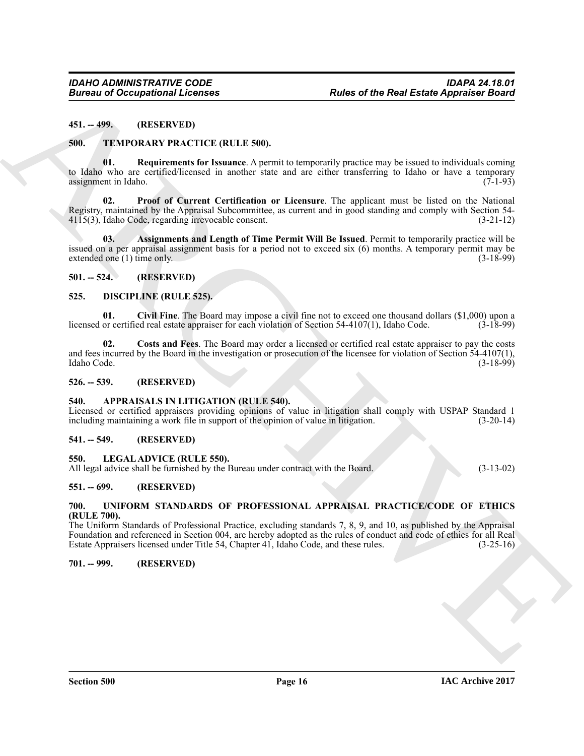<span id="page-15-0"></span>**451. -- 499. (RESERVED)**

### <span id="page-15-16"></span><span id="page-15-1"></span>**500. TEMPORARY PRACTICE (RULE 500).**

<span id="page-15-19"></span>**01. Requirements for Issuance**. A permit to temporarily practice may be issued to individuals coming to Idaho who are certified/licensed in another state and are either transferring to Idaho or have a temporary assignment in Idaho.  $(7-1-93)$ 

<span id="page-15-18"></span><span id="page-15-17"></span>**02. Proof of Current Certification or Licensure**. The applicant must be listed on the National Registry, maintained by the Appraisal Subcommittee, as current and in good standing and comply with Section 54-<br>4115(3), Idaho Code, regarding irrevocable consent. (3-21-12)  $4115(3)$ , Idaho Code, regarding irrevocable consent.

**Entreprene of Occupations I.** Fourtee **Representations**<br>
44.1. TEXPLORATIV PRACTICE (IRL LE SOO).<br>
50. TEXPLORATIV PRACTICE (IRL LE SOO).<br>
50. TEXPLORATIV PRACTICE (IRL LE SOO).<br>
30. TEXPLORATIV PRACTICE (IRL LE SOO).<br>
3 **03. Assignments and Length of Time Permit Will Be Issued**. Permit to temporarily practice will be issued on a per appraisal assignment basis for a period not to exceed six (6) months. A temporary permit may be extended one (1) time only. (3-18-99) extended one  $(1)$  time only.

### <span id="page-15-2"></span>**501. -- 524. (RESERVED)**

### <span id="page-15-12"></span><span id="page-15-3"></span>**525. DISCIPLINE (RULE 525).**

<span id="page-15-13"></span>**01. Civil Fine**. The Board may impose a civil fine not to exceed one thousand dollars (\$1,000) upon a licensed or certified real estate appraiser for each violation of Section 54-4107(1), Idaho Code.

<span id="page-15-14"></span>**02. Costs and Fees**. The Board may order a licensed or certified real estate appraiser to pay the costs and fees incurred by the Board in the investigation or prosecution of the licensee for violation of Section  $54-4107(1)$ , Idaho Code. (3-18-99) Idaho Code. (3-18-99)

### <span id="page-15-4"></span>**526. -- 539. (RESERVED)**

### <span id="page-15-11"></span><span id="page-15-5"></span>**540. APPRAISALS IN LITIGATION (RULE 540).**

Licensed or certified appraisers providing opinions of value in litigation shall comply with USPAP Standard 1 including maintaining a work file in support of the opinion of value in litigation. (3-20-14) including maintaining a work file in support of the opinion of value in litigation.

### <span id="page-15-6"></span>**541. -- 549. (RESERVED)**

### <span id="page-15-15"></span><span id="page-15-7"></span>**550. LEGAL ADVICE (RULE 550).**

All legal advice shall be furnished by the Bureau under contract with the Board. (3-13-02)

### <span id="page-15-8"></span>**551. -- 699. (RESERVED)**

### <span id="page-15-20"></span><span id="page-15-9"></span>**700. UNIFORM STANDARDS OF PROFESSIONAL APPRAISAL PRACTICE/CODE OF ETHICS (RULE 700).**

The Uniform Standards of Professional Practice, excluding standards 7, 8, 9, and 10, as published by the Appraisal Foundation and referenced in Section 004, are hereby adopted as the rules of conduct and code of ethics for all Real Estate Appraisers licensed under Title 54, Chapter 41, Idaho Code, and these rules.

<span id="page-15-10"></span>**701. -- 999. (RESERVED)**